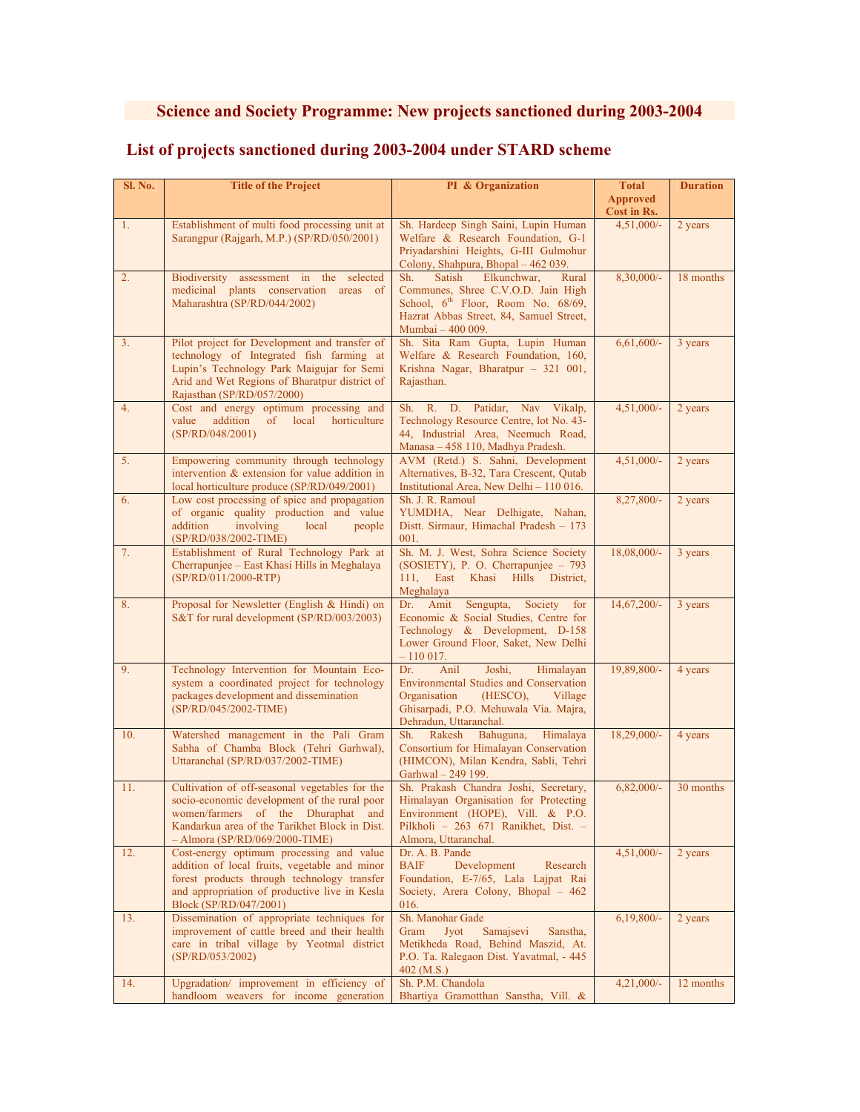## **Science and Society Programme: New projects sanctioned during 2003-2004**

| Sl. No. | <b>Title of the Project</b>                                                                                                                                                                                               | PI & Organization                                                                                                                                                                                | <b>Total</b>                   | <b>Duration</b> |
|---------|---------------------------------------------------------------------------------------------------------------------------------------------------------------------------------------------------------------------------|--------------------------------------------------------------------------------------------------------------------------------------------------------------------------------------------------|--------------------------------|-----------------|
|         |                                                                                                                                                                                                                           |                                                                                                                                                                                                  | <b>Approved</b><br>Cost in Rs. |                 |
| 1.      | Establishment of multi food processing unit at<br>Sarangpur (Rajgarh, M.P.) (SP/RD/050/2001)                                                                                                                              | Sh. Hardeep Singh Saini, Lupin Human<br>Welfare & Research Foundation, G-1<br>Priyadarshini Heights, G-III Gulmohur<br>Colony, Shahpura, Bhopal - 462 039.                                       | $4,51,000/-$                   | 2 years         |
| 2.      | assessment in the<br>Biodiversity<br>selected<br>medicinal plants conservation areas of<br>Maharashtra (SP/RD/044/2002)                                                                                                   | Satish<br>Elkunchwar,<br>Sh.<br>Rural<br>Communes, Shree C.V.O.D. Jain High<br>School, 6 <sup>th</sup> Floor, Room No. 68/69,<br>Hazrat Abbas Street, 84, Samuel Street,<br>Mumbai - 400 009.    | $8,30,000/-$                   | 18 months       |
| 3.      | Pilot project for Development and transfer of<br>technology of Integrated fish farming at<br>Lupin's Technology Park Maigujar for Semi<br>Arid and Wet Regions of Bharatpur district of<br>Rajasthan (SP/RD/057/2000)     | Sh. Sita Ram Gupta, Lupin Human<br>Welfare & Research Foundation, 160,<br>Krishna Nagar, Bharatpur - 321 001,<br>Rajasthan.                                                                      | $6,61,600/-$                   | 3 years         |
| 4.      | Cost and energy optimum processing and<br>addition<br>value<br>$\sigma$<br>local<br>horticulture<br>(SP/RD/048/2001)                                                                                                      | Sh. R. D. Patidar,<br>Nav Vikalp,<br>Technology Resource Centre, lot No. 43-<br>44, Industrial Area, Neemuch Road,<br>Manasa - 458 110, Madhya Pradesh.                                          | $4,51,000/-$                   | 2 years         |
| 5.      | Empowering community through technology<br>intervention & extension for value addition in<br>local horticulture produce (SP/RD/049/2001)                                                                                  | AVM (Retd.) S. Sahni, Development<br>Alternatives, B-32, Tara Crescent, Qutab<br>Institutional Area, New Delhi – 110 016.                                                                        | $4,51,000/-$                   | 2 years         |
| 6.      | Low cost processing of spice and propagation<br>of organic quality production and value<br>involving<br>addition<br>local<br>people<br>(SP/RD/038/2002-TIME)                                                              | Sh. J. R. Ramoul<br>YUMDHA, Near Delhigate, Nahan,<br>Distt. Sirmaur, Himachal Pradesh - 173<br>001.                                                                                             | 8,27,800/-                     | 2 years         |
| 7.      | Establishment of Rural Technology Park at<br>Cherrapunjee – East Khasi Hills in Meghalaya<br>(SP/RD/011/2000-RTP)                                                                                                         | Sh. M. J. West, Sohra Science Society<br>(SOSIETY), P. O. Cherrapunjee $-793$<br>111,<br>East<br>Khasi<br><b>Hills</b><br>District,<br>Meghalaya                                                 | 18,08,000/-                    | 3 years         |
| 8.      | Proposal for Newsletter (English & Hindi) on<br>S&T for rural development (SP/RD/003/2003)                                                                                                                                | Dr. Amit<br>Sengupta,<br>Society<br>for<br>Economic & Social Studies, Centre for<br>Technology & Development, D-158<br>Lower Ground Floor, Saket, New Delhi<br>$-110017.$                        | 14,67,200/-                    | 3 years         |
| 9.      | Technology Intervention for Mountain Eco-<br>system a coordinated project for technology<br>packages development and dissemination<br>(SP/RD/045/2002-TIME)                                                               | Dr.<br>Anil<br>Joshi,<br>Himalayan<br><b>Environmental Studies and Conservation</b><br>Organisation<br>$(HESCO)$ ,<br>Village<br>Ghisarpadi, P.O. Mehuwala Via. Majra,<br>Dehradun, Uttaranchal. | 19,89,800/-                    | 4 years         |
| 10.     | Watershed management in the Pali Gram<br>Sabha of Chamba Block (Tehri Garhwal),<br>Uttaranchal (SP/RD/037/2002-TIME)                                                                                                      | Sh. Rakesh Bahuguna,<br>Himalaya<br>Consortium for Himalayan Conservation<br>(HIMCON), Milan Kendra, Sabli, Tehri<br>Garhwal - 249 199.                                                          | 18,29,000/-                    | 4 years         |
| 11.     | Cultivation of off-seasonal vegetables for the<br>socio-economic development of the rural poor<br>women/farmers of the Dhuraphat and<br>Kandarkua area of the Tarikhet Block in Dist.<br>$-$ Almora (SP/RD/069/2000-TIME) | Sh. Prakash Chandra Joshi, Secretary,<br>Himalayan Organisation for Protecting<br>Environment (HOPE), Vill. & P.O.<br>Pilkholi – 263 671 Ranikhet, Dist. –<br>Almora, Uttaranchal.               | $6,82,000/-$                   | 30 months       |
| 12.     | Cost-energy optimum processing and value<br>addition of local fruits, vegetable and minor<br>forest products through technology transfer<br>and appropriation of productive live in Kesla<br>Block (SP/RD/047/2001)       | Dr. A. B. Pande<br><b>BAIF</b><br>Development<br>Research<br>Foundation, E-7/65, Lala Lajpat Rai<br>Society, Arera Colony, Bhopal – 462<br>016.                                                  | $4,51,000/-$                   | 2 years         |
| 13.     | Dissemination of appropriate techniques for<br>improvement of cattle breed and their health<br>care in tribal village by Yeotmal district<br>(SP/RD/053/2002)                                                             | Sh. Manohar Gade<br>Samajsevi<br>Gram<br>Jyot<br>Sanstha,<br>Metikheda Road, Behind Maszid, At.<br>P.O. Ta. Ralegaon Dist. Yavatmal, - 445<br>$402$ (M.S.)                                       | $6,19,800/-$                   | 2 years         |
| 14.     | Upgradation/ improvement in efficiency of                                                                                                                                                                                 | Sh. P.M. Chandola                                                                                                                                                                                | $4,21,000/-$                   | 12 months       |

Bhartiya Gramotthan Sanstha, Vill. &

handloom weavers for income generation

## **List of projects sanctioned during 2003-2004 under STARD scheme**